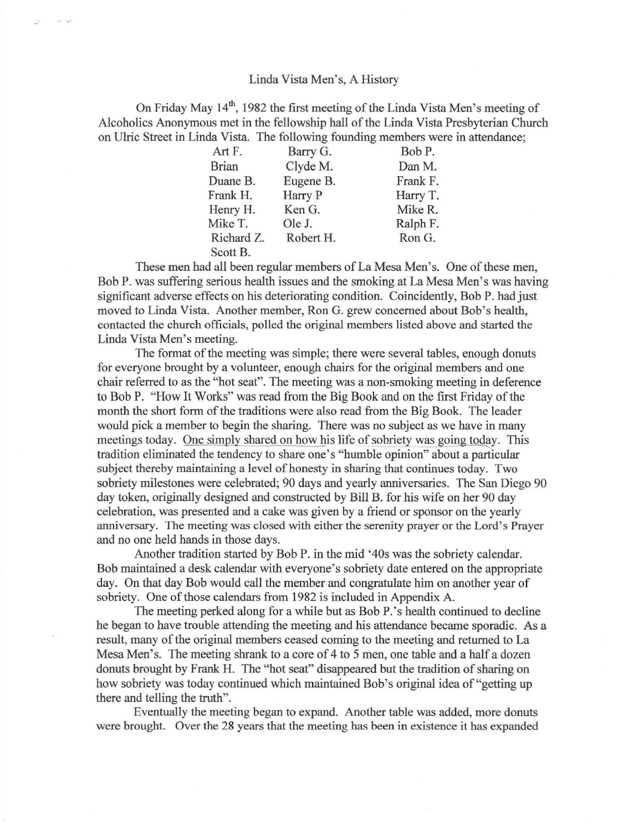## Linda Vista Men's, A History

 $\sim$   $\sim$ 

On Friday May 14<sup>th</sup>, 1982 the first meeting of the Linda Vista Men's meeting of Alcoholics Anonymous met in the fellowship hall of the Linda Vista Presbyterian Church on Ulric Street in Linda Vista. The following founding members were in attendance;

| Art F.       | Barry G.  | Bob P.   |
|--------------|-----------|----------|
| <b>Brian</b> | Clyde M.  | Dan M.   |
| Duane B.     | Eugene B. | Frank F. |
| Frank H.     | Harry P   | Harry T. |
| Henry H.     | Ken G.    | Mike R.  |
| Mike T.      | Ole J.    | Ralph F. |
| Richard Z.   | Robert H. | Ron G.   |
| Scott B.     |           |          |

These men had all been regular members of La Mesa Men's. One of these men, Bob P. was suffering serious health issues and the smoking at La Mesa Men's was having significant adverse effects on his deteriorating condition. Coincidently, Bob P. had just moved to Linda Vista. Another member, Ron G. grew concerned about Bob's health, contacted the church officials, polled the original members listed above and started the Linda Vista Men's meeting.

The format of the meeting was simple; there were several tables, enough donuts for everyone brought by a volunteer, enough chairs for the original members and one chair referred to as the "hot seat". The meeting was a non-smoking meeting in deference to Bob P. "How It Works" was read from the Big Book and on the first Friday of the month the short form of the traditions were also read from the Big Book. The leader would pick a member to begin the sharing. There was no subject as we have in many meetings today. One simply shared on how his life of sobriety was going today. This tradition eliminated the tendency to share one's "humble opinion" about a particular subject thereby maintaining a level of honesty in sharing that continues today. Two sobriety milestones were celebrated; 90 days and yearly anniversaries. The San Diego 90 day token, originally designed and constructed by Bill B. for his wife on her 90 day celebration, was presented and a cake was given by a friend or sponsor on the yearly anniversary. The meeting was closed with either the serenity prayer or the Lord's Prayer and no one held hands in those days.

Another tradition started by Bob P. in the mid '40s was the sobriety calendar. Bob maintained a desk calendar with everyone's sobriety date entered on the appropriate day. On that day Bob would call the member and congratulate him on another year of sobriety. One of those calendars from 1982 is included in Appendix A.

The meeting perked along for a while but as Bob P.'s health continued to decline he began to have trouble attending the meeting and his attendance became sporadic. As a result, many of the original members ceased coming to the meeting and returned to La Mesa Men's. The meeting shrank to a core of 4 to 5 men, one table and a half a dozen donuts brought by Frank H. The "hot seat" disappeared but the tradition of sharing on how sobriety was today continued which maintained Bob's original idea of "getting up there and telling the truth".

Eventually the meeting began to expand. Another table was added, more donuts were brought. Over the 28 years that the meeting has been in existence it has expanded